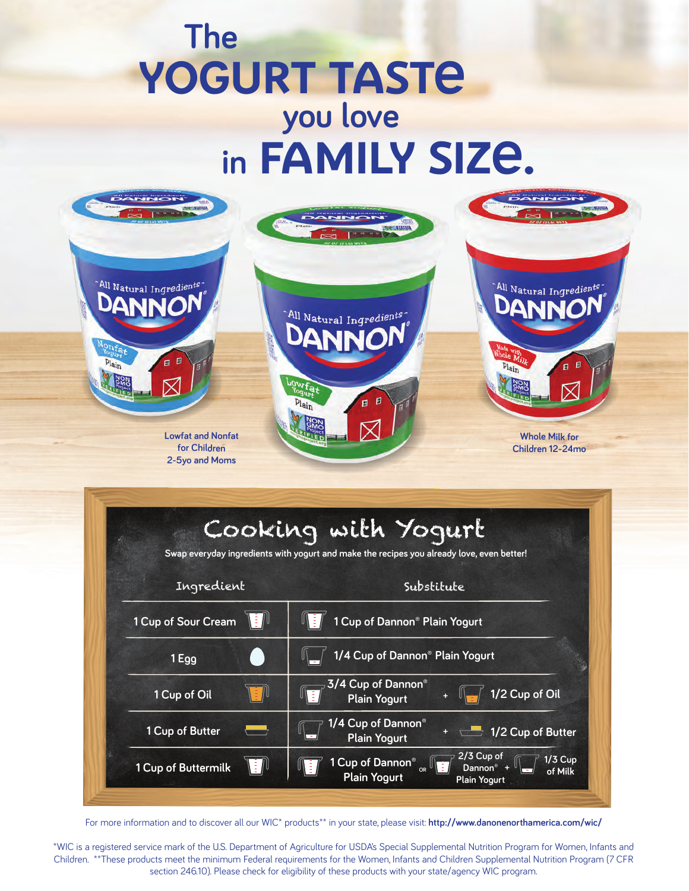## **The** YOGURT TASTE family size. **in you love**



|                     | Cooking with Yogurt<br>Swap everyday ingredients with yogurt and make the recipes you already love, even better!                        |  |
|---------------------|-----------------------------------------------------------------------------------------------------------------------------------------|--|
| Ingredient          | Substitute                                                                                                                              |  |
| 1 Cup of Sour Cream | 1 Cup of Dannon <sup>®</sup> Plain Yogurt                                                                                               |  |
| 1 Egg               | 1/4 Cup of Dannon <sup>®</sup> Plain Yogurt                                                                                             |  |
| 1 Cup of Oil        | 3/4 Cup of Dannon®<br>1/2 Cup of Oil<br><b>Plain Yogurt</b>                                                                             |  |
| 1 Cup of Butter     | 1/4 Cup of Dannon®<br>1/2 Cup of Butter<br><b>Plain Yogurt</b>                                                                          |  |
| 1 Cup of Buttermilk | $2/3$ Cup of<br>1/3 Cup<br>1 Cup of Dannon <sup>®</sup><br>Dannon <sup>®</sup><br>of Milk<br><b>Plain Yogurt</b><br><b>Plain Yogurt</b> |  |

For more information and to discover all our WIC\* products\*\* in your state, please visit: **http://www.danonenorthamerica.com/wic/**

\*WIC is a registered service mark of the U.S. Department of Agriculture for USDA's Special Supplemental Nutrition Program for Women, Infants and Children. \*\*These products meet the minimum Federal requirements for the Women, Infants and Children Supplemental Nutrition Program (7 CFR section 246.10). Please check for eligibility of these products with your state/agency WIC program.